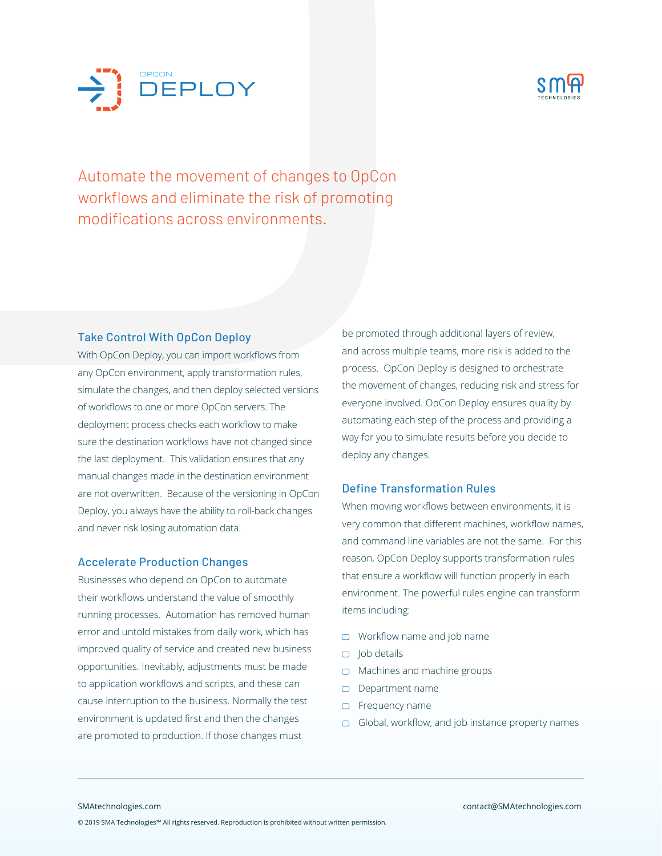



Automate the movement of changes to OpCon workflows and eliminate the risk of promoting modifications across environments.

## Take Control With OpCon Deploy

With OpCon Deploy, you can import workflows from any OpCon environment, apply transformation rules, simulate the changes, and then deploy selected versions of workflows to one or more OpCon servers. The deployment process checks each workflow to make sure the destination workflows have not changed since the last deployment. This validation ensures that any manual changes made in the destination environment are not overwritten. Because of the versioning in OpCon Deploy, you always have the ability to roll-back changes and never risk losing automation data.

### Accelerate Production Changes

Businesses who depend on OpCon to automate their workflows understand the value of smoothly running processes. Automation has removed human error and untold mistakes from daily work, which has improved quality of service and created new business opportunities. Inevitably, adjustments must be made to application workflows and scripts, and these can cause interruption to the business. Normally the test environment is updated first and then the changes are promoted to production. If those changes must

be promoted through additional layers of review, and across multiple teams, more risk is added to the process. OpCon Deploy is designed to orchestrate the movement of changes, reducing risk and stress for everyone involved. OpCon Deploy ensures quality by automating each step of the process and providing a way for you to simulate results before you decide to deploy any changes.

## Define Transformation Rules

When moving workflows between environments, it is very common that different machines, workflow names, and command line variables are not the same. For this reason, OpCon Deploy supports transformation rules that ensure a workflow will function properly in each environment. The powerful rules engine can transform items including:

- Workflow name and job name
- $\Box$  Job details
- □ Machines and machine groups
- Department name
- **D** Frequency name
- $\Box$  Global, workflow, and job instance property names